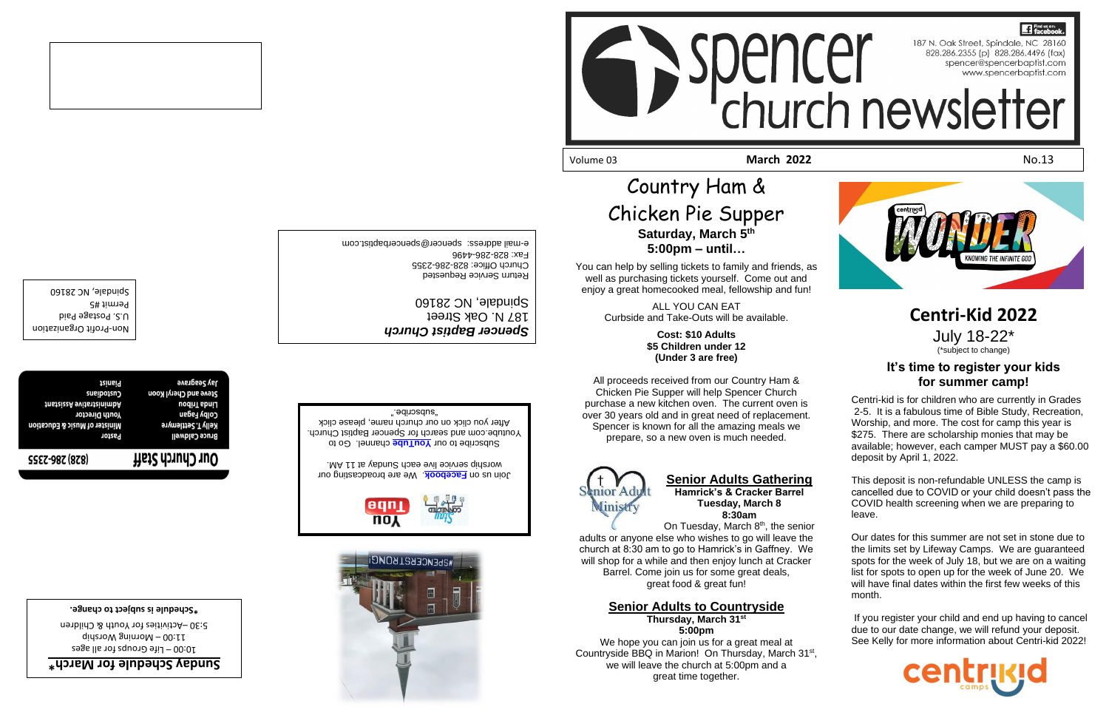## Country Ham & Chicken Pie Supper **Saturday, March 5th 5:00pm – until…**

You can help by selling tickets to family and friends, as well as purchasing tickets yourself. Come out and enjoy a great homecooked meal, fellowship and fun!

> ALL YOU CAN EAT Curbside and Take-Outs will be available.

> > **Cost: \$10 Adults \$5 Children under 12 (Under 3 are free)**

On Tuesday, March 8<sup>th</sup>, the senior adults or anyone else who wishes to go will leave the church at 8:30 am to go to Hamrick's in Gaffney. We will shop for a while and then enjoy lunch at Cracker

All proceeds received from our Country Ham & Chicken Pie Supper will help Spencer Church purchase a new kitchen oven. The current oven is over 30 years old and in great need of replacement. Spencer is known for all the amazing meals we prepare, so a new oven is much needed.



## **Senior Adults Gathering**

**Hamrick's & Cracker Barrel Tuesday, March 8 8:30am**

Barrel. Come join us for some great deals, great food & great fun!

**Senior Adults to Countryside Thursday, March 31st 5:00pm** We hope you can join us for a great meal at Countryside BBQ in Marion! On Thursday, March 31<sup>st</sup>, we will leave the church at 5:00pm and a great time together.

Permit #5 Spindale, NC 28160

# **17** Find us on: Spencesses (pindele, NC 28140



Return Service Requested Church Office: 828-286-2355

Eax: 828-286-4496

## **Centri-Kid 2022**

July 18-22\*

**\* March for Sunday Schedule**  $20:00 -$  Life Groups for all ages  $q$ ididang Worship 5:30 - Activities for Youth & Children

**аустадгате tainsi9** Steve and Cheryl Koon Custodians **tnsteizeA** svitsttainimbA Linda Tribou **Youth Director** Colby Fagan Minister of Music & Education Kelly T. Settlemyre Pastor **Bruce Caldwell**  (\*subject to change)

## **It's time to register your kids for summer camp!**

Subscribe to our **YouTube** channel. Go to Youtube.com and search for Spencer Baptist Church. After you click on our church name, please click "subscribe."

Centri-kid is for children who are currently in Grades 2-5. It is a fabulous time of Bible Study, Recreation, Worship, and more. The cost for camp this year is \$275. There are scholarship monies that may be available; however, each camper MUST pay a \$60.00 deposit by April 1, 2022.

This deposit is non-refundable UNLESS the camp is cancelled due to COVID or your child doesn't pass the COVID health screening when we are preparing to leave.

Our dates for this summer are not set in stone due to the limits set by Lifeway Camps. We are guaranteed spots for the week of July 18, but we are on a waiting list for spots to open up for the week of June 20. We will have final dates within the first few weeks of this month.

If you register your child and end up having to cancel due to our date change, we will refund your deposit. See Kelly for more information about Centri-kid 2022!



Profit Organization - Non U.S. Postage Paid



*Spencer Baptist Church*

e-mail address: spencer@spencerbaptist.com

187 N. Oak Street Spindale, NC 28160

**Schedule is subject to change. \***

## Our Church Staff **SSEZ-98Z (878)**

. We are broadcasting our **Facebook** Join us on . worship service live eac[h Sunday at](https://www.facebook.com/SpencerBaptistChurch/) 11 AM

WRDENCEBRIBONCI

əqn **NOY** 

Volume 03 **March 2022** No.13